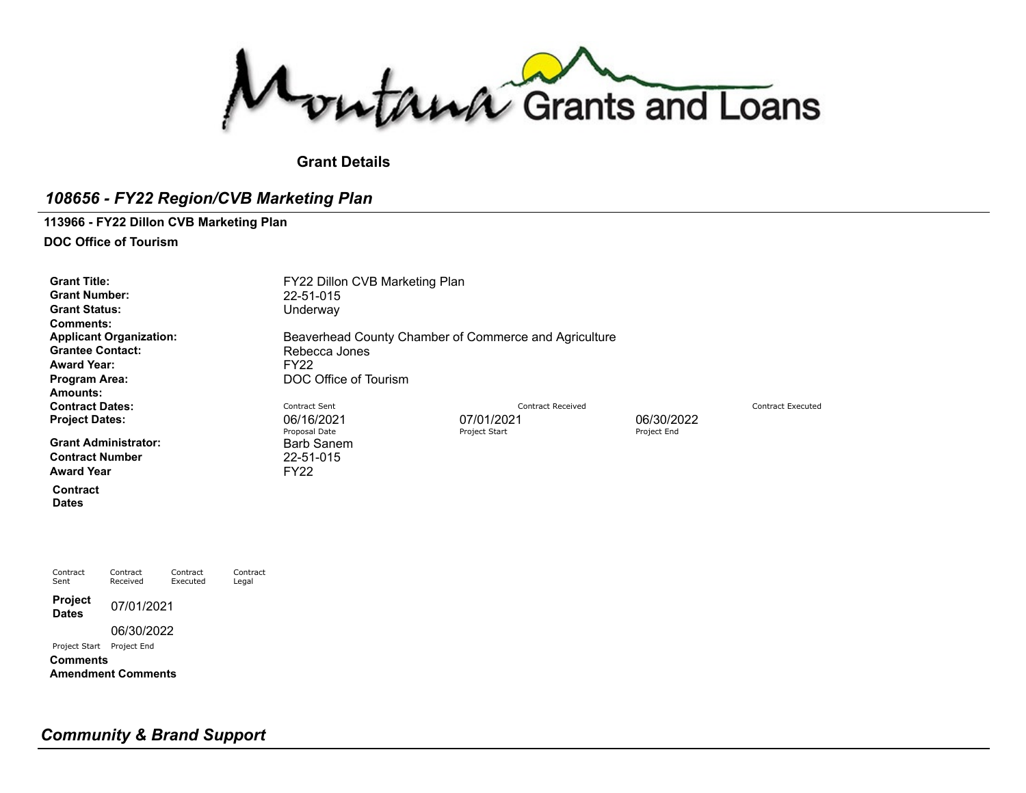Montana Grants and Loans

# **Grant Details**

# *108656 - FY22 Region/CVB Marketing Plan*

#### **113966 - FY22 Dillon CVB Marketing Plan**

**DOC Office of Tourism**

**Grant Number:** 22-51-015 **Grant Status:** Underway **Comments: Grantee Contact: Award Year:** FY22<br>Program Area: FOOC **Amounts: Contract Dates:** Contract Dates: Contract Sent Contract Sent Contract Peceived Contract Received Contract Executed **Project Dates:** 06/16/2021 07/01/2021 06/30/2022 **Grant Administrator:** 

**Contract Number** 22-51-015 **Award Year** FY22

**Contract Dates**

**Contract** Sent

Contract Contract Executed

Contract Legal

**Project Dates** 07/01/2021

06/30/2022

Received

Project Start Project End

**Comments Amendment Comments**

Grant Title: **Grant Title:** FY22 Dillon CVB Marketing Plan **Applicant Organization:** [Beaverhead](https://funding.mt.gov/organizationDetail.do?OIDString=1398722776103|Organization&history=include) County Chamber of Commerce and Agriculture<br> **Grantee Contact:** Rebecca Jones **POC Office of Tourism** 

Proposal Date **Proposal Date Project Start** Project Start Project End Project End Project End Project End Project End Project End Project End Project End Project End Project End Project End Project End Project End Project

*Community & Brand Support*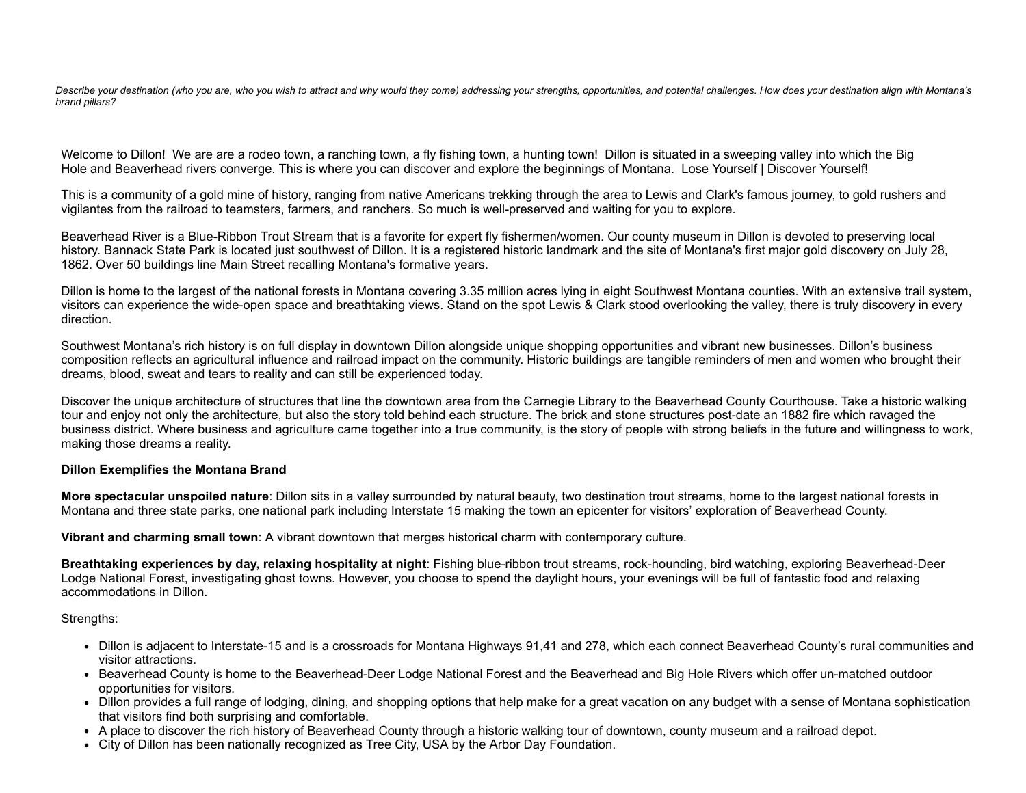Describe your destination (who you are, who you wish to attract and why would they come) addressing your strengths, opportunities, and potential challenges. How does your destination align with Montana's *brand pillars?*

Welcome to Dillon! We are are a rodeo town, a ranching town, a fly fishing town, a hunting town! Dillon is situated in a sweeping valley into which the Big Hole and Beaverhead rivers converge. This is where you can discover and explore the beginnings of Montana. Lose Yourself | Discover Yourself!

This is a community of a gold mine of history, ranging from native Americans trekking through the area to Lewis and Clark's famous journey, to gold rushers and vigilantes from the railroad to teamsters, farmers, and ranchers. So much is well-preserved and waiting for you to explore.

Beaverhead River is a Blue-Ribbon Trout Stream that is a favorite for expert fly fishermen/women. Our county museum in Dillon is devoted to preserving local history. Bannack State Park is located just southwest of Dillon. It is a registered historic landmark and the site of Montana's first major gold discovery on July 28, 1862. Over 50 buildings line Main Street recalling Montana's formative years.

Dillon is home to the largest of the national forests in Montana covering 3.35 million acres lying in eight Southwest Montana counties. With an extensive trail system, visitors can experience the wide-open space and breathtaking views. Stand on the spot Lewis & Clark stood overlooking the valley, there is truly discovery in every direction.

Southwest Montana's rich history is on full display in downtown Dillon alongside unique shopping opportunities and vibrant new businesses. Dillon's business composition reflects an agricultural influence and railroad impact on the community. Historic buildings are tangible reminders of men and women who brought their dreams, blood, sweat and tears to reality and can still be experienced today.

Discover the unique architecture of structures that line the downtown area from the Carnegie Library to the Beaverhead County Courthouse. Take a historic walking tour and enjoy not only the architecture, but also the story told behind each structure. The brick and stone structures post-date an 1882 fire which ravaged the business district. Where business and agriculture came together into a true community, is the story of people with strong beliefs in the future and willingness to work, making those dreams a reality.

#### **Dillon Exemplifies the Montana Brand**

**More spectacular unspoiled nature**: Dillon sits in a valley surrounded by natural beauty, two destination trout streams, home to the largest national forests in Montana and three state parks, one national park including Interstate 15 making the town an epicenter for visitors' exploration of Beaverhead County.

**Vibrant and charming small town**: A vibrant downtown that merges historical charm with contemporary culture.

**Breathtaking experiences by day, relaxing hospitality at night**: Fishing blue-ribbon trout streams, rock-hounding, bird watching, exploring Beaverhead-Deer Lodge National Forest, investigating ghost towns. However, you choose to spend the daylight hours, your evenings will be full of fantastic food and relaxing accommodations in Dillon.

#### Strengths:

- Dillon is adjacent to Interstate-15 and is a crossroads for Montana Highways 91,41 and 278, which each connect Beaverhead County's rural communities and visitor attractions.
- Beaverhead County is home to the Beaverhead-Deer Lodge National Forest and the Beaverhead and Big Hole Rivers which offer un-matched outdoor opportunities for visitors.
- Dillon provides a full range of lodging, dining, and shopping options that help make for a great vacation on any budget with a sense of Montana sophistication that visitors find both surprising and comfortable.
- A place to discover the rich history of Beaverhead County through a historic walking tour of downtown, county museum and a railroad depot.
- City of Dillon has been nationally recognized as Tree City, USA by the Arbor Day Foundation.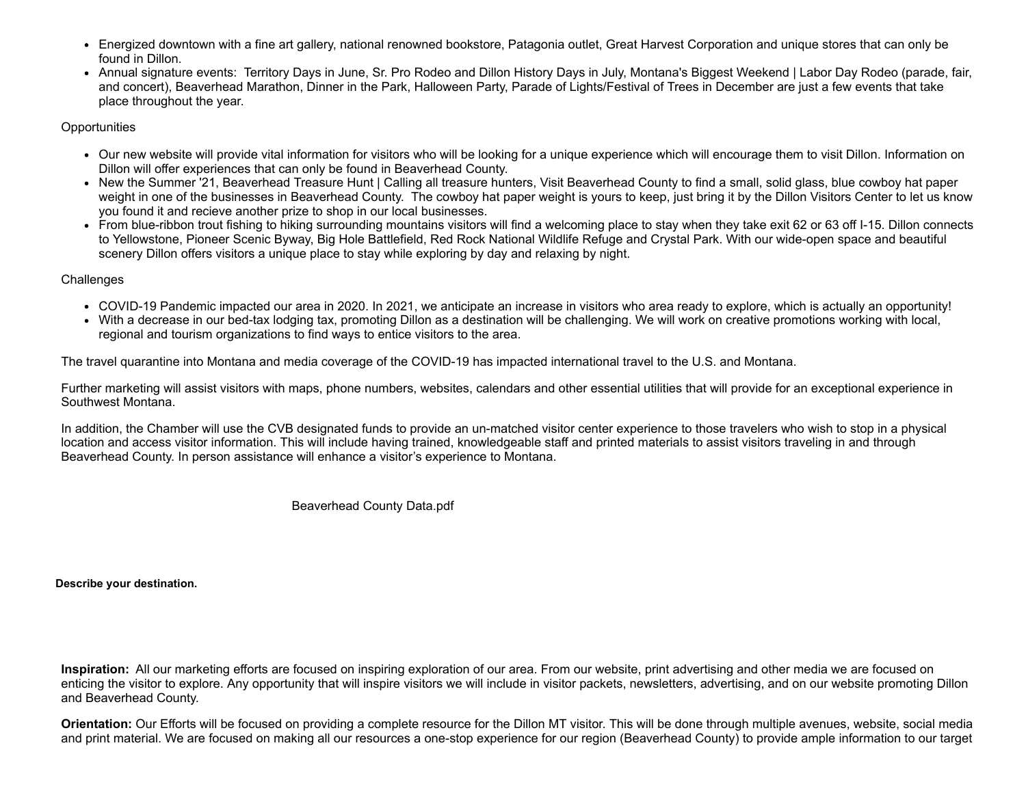- Energized downtown with a fine art gallery, national renowned bookstore, Patagonia outlet, Great Harvest Corporation and unique stores that can only be found in Dillon.
- Annual signature events: Territory Days in June, Sr. Pro Rodeo and Dillon History Days in July, Montana's Biggest Weekend | Labor Day Rodeo (parade, fair, and concert), Beaverhead Marathon, Dinner in the Park, Halloween Party, Parade of Lights/Festival of Trees in December are just a few events that take place throughout the year.

## **Opportunities**

- Our new website will provide vital information for visitors who will be looking for a unique experience which will encourage them to visit Dillon. Information on Dillon will offer experiences that can only be found in Beaverhead County.
- New the Summer '21, Beaverhead Treasure Hunt | Calling all treasure hunters, Visit Beaverhead County to find a small, solid glass, blue cowboy hat paper weight in one of the businesses in Beaverhead County. The cowboy hat paper weight is yours to keep, just bring it by the Dillon Visitors Center to let us know you found it and recieve another prize to shop in our local businesses.
- From blue-ribbon trout fishing to hiking surrounding mountains visitors will find a welcoming place to stay when they take exit 62 or 63 off I-15. Dillon connects to Yellowstone, Pioneer Scenic Byway, Big Hole Battlefield, Red Rock National Wildlife Refuge and Crystal Park. With our wide-open space and beautiful scenery Dillon offers visitors a unique place to stay while exploring by day and relaxing by night.

## **Challenges**

- COVID-19 Pandemic impacted our area in 2020. In 2021, we anticipate an increase in visitors who area ready to explore, which is actually an opportunity!
- With a decrease in our bed-tax lodging tax, promoting Dillon as a destination will be challenging. We will work on creative promotions working with local, regional and tourism organizations to find ways to entice visitors to the area.

The travel quarantine into Montana and media coverage of the COVID-19 has impacted international travel to the U.S. and Montana.

Further marketing will assist visitors with maps, phone numbers, websites, calendars and other essential utilities that will provide for an exceptional experience in Southwest Montana.

In addition, the Chamber will use the CVB designated funds to provide an un-matched visitor center experience to those travelers who wish to stop in a physical location and access visitor information. This will include having trained, knowledgeable staff and printed materials to assist visitors traveling in and through Beaverhead County. In person assistance will enhance a visitor's experience to Montana.

[Beaverhead](https://funding.mt.gov/fileDownload.jsp?filename=1588025438980_Beaverhead+County+Data.pdf) County Data.pdf

**Describe your destination.**

**Inspiration:** All our marketing efforts are focused on inspiring exploration of our area. From our website, print advertising and other media we are focused on enticing the visitor to explore. Any opportunity that will inspire visitors we will include in visitor packets, newsletters, advertising, and on our website promoting Dillon and Beaverhead County.

**Orientation:** Our Efforts will be focused on providing a complete resource for the Dillon MT visitor. This will be done through multiple avenues, website, social media and print material. We are focused on making all our resources a one-stop experience for our region (Beaverhead County) to provide ample information to our target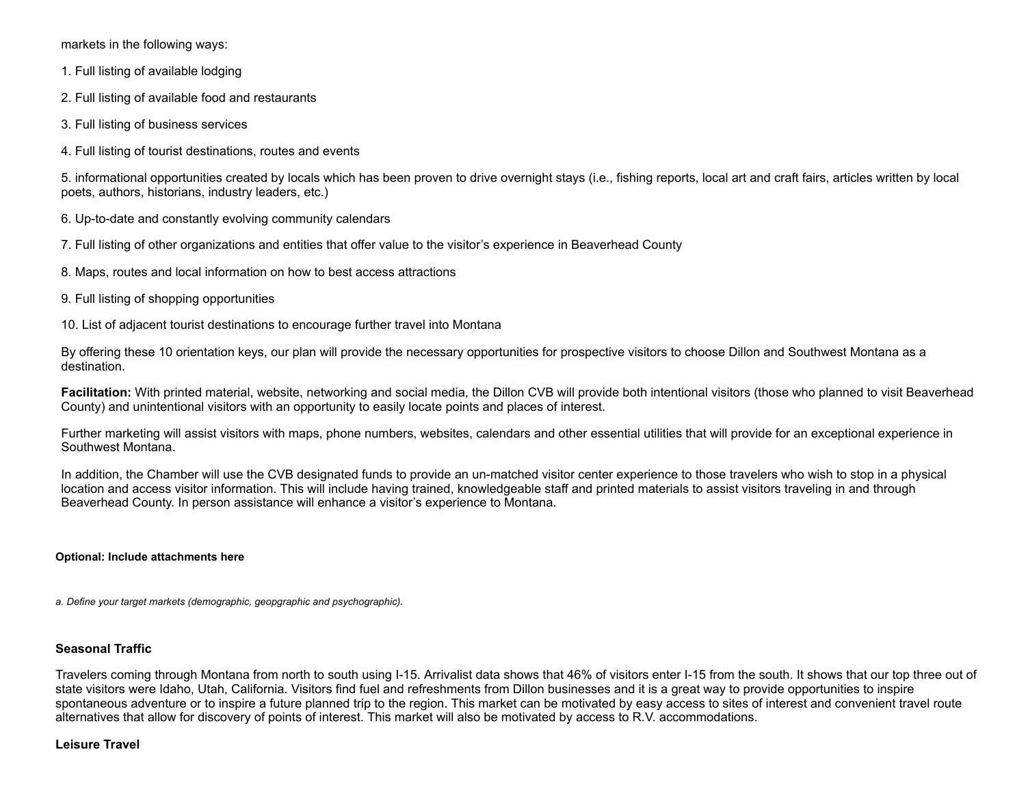markets in the following ways:

- 1. Full listing of available lodging
- 2. Full listing of available food and restaurants
- 3. Full listing of business services
- 4. Full listing of tourist destinations, routes and events

5. informational opportunities created by locals which has been proven to drive overnight stays (i.e., fishing reports, local art and craft fairs, articles written by local poets, authors, historians, industry leaders, etc.)

- 6. Up-to-date and constantly evolving community calendars
- 7. Full listing of other organizations and entities that offer value to the visitor's experience in Beaverhead County
- 8. Maps, routes and local information on how to best access attractions
- 9. Full listing of shopping opportunities
- 10. List of adjacent tourist destinations to encourage further travel into Montana

By offering these 10 orientation keys, our plan will provide the necessary opportunities for prospective visitors to choose Dillon and Southwest Montana as a destination.

**Facilitation:** With printed material, website, networking and social media, the Dillon CVB will provide both intentional visitors (those who planned to visit Beaverhead County) and unintentional visitors with an opportunity to easily locate points and places of interest.

Further marketing will assist visitors with maps, phone numbers, websites, calendars and other essential utilities that will provide for an exceptional experience in Southwest Montana.

In addition, the Chamber will use the CVB designated funds to provide an un-matched visitor center experience to those travelers who wish to stop in a physical location and access visitor information. This will include having trained, knowledgeable staff and printed materials to assist visitors traveling in and through Beaverhead County. In person assistance will enhance a visitor's experience to Montana.

#### **Optional: Include attachments here**

*a. Define your target markets (demographic, geopgraphic and psychographic).*

#### **Seasonal Traffic**

Travelers coming through Montana from north to south using I-15. Arrivalist data shows that 46% of visitors enter I-15 from the south. It shows that our top three out of state visitors were Idaho, Utah, California. Visitors find fuel and refreshments from Dillon businesses and it is a great way to provide opportunities to inspire spontaneous adventure or to inspire a future planned trip to the region. This market can be motivated by easy access to sites of interest and convenient travel route alternatives that allow for discovery of points of interest. This market will also be motivated by access to R.V. accommodations.

#### **Leisure Travel**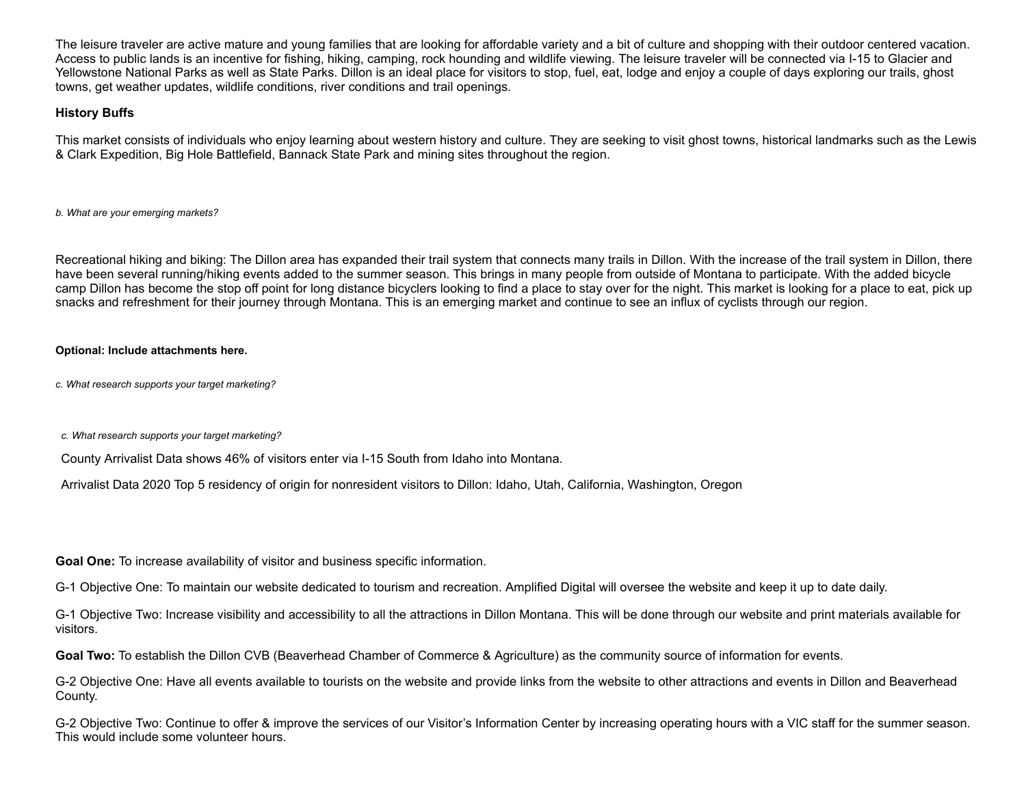The leisure traveler are active mature and young families that are looking for affordable variety and a bit of culture and shopping with their outdoor centered vacation. Access to public lands is an incentive for fishing, hiking, camping, rock hounding and wildlife viewing. The leisure traveler will be connected via I-15 to Glacier and Yellowstone National Parks as well as State Parks. Dillon is an ideal place for visitors to stop, fuel, eat, lodge and enjoy a couple of days exploring our trails, ghost towns, get weather updates, wildlife conditions, river conditions and trail openings.

## **History Buffs**

This market consists of individuals who enjoy learning about western history and culture. They are seeking to visit ghost towns, historical landmarks such as the Lewis & Clark Expedition, Big Hole Battlefield, Bannack State Park and mining sites throughout the region.

*b. What are your emerging markets?*

Recreational hiking and biking: The Dillon area has expanded their trail system that connects many trails in Dillon. With the increase of the trail system in Dillon, there have been several running/hiking events added to the summer season. This brings in many people from outside of Montana to participate. With the added bicycle camp Dillon has become the stop off point for long distance bicyclers looking to find a place to stay over for the night. This market is looking for a place to eat, pick up snacks and refreshment for their journey through Montana. This is an emerging market and continue to see an influx of cyclists through our region.

#### **Optional: Include attachments here.**

*c. What research supports your target marketing?*

*c. What research supports your target marketing?*

County Arrivalist Data shows 46% of visitors enter via I-15 South from Idaho into Montana.

Arrivalist Data 2020 Top 5 residency of origin for nonresident visitors to Dillon: Idaho, Utah, California, Washington, Oregon

**Goal One:** To increase availability of visitor and business specific information.

G-1 Objective One: To maintain our website dedicated to tourism and recreation. Amplified Digital will oversee the website and keep it up to date daily.

G-1 Objective Two: Increase visibility and accessibility to all the attractions in Dillon Montana. This will be done through our website and print materials available for visitors.

**Goal Two:** To establish the Dillon CVB (Beaverhead Chamber of Commerce & Agriculture) as the community source of information for events.

G-2 Objective One: Have all events available to tourists on the website and provide links from the website to other attractions and events in Dillon and Beaverhead County.

G-2 Objective Two: Continue to offer & improve the services of our Visitor's Information Center by increasing operating hours with a VIC staff for the summer season. This would include some volunteer hours.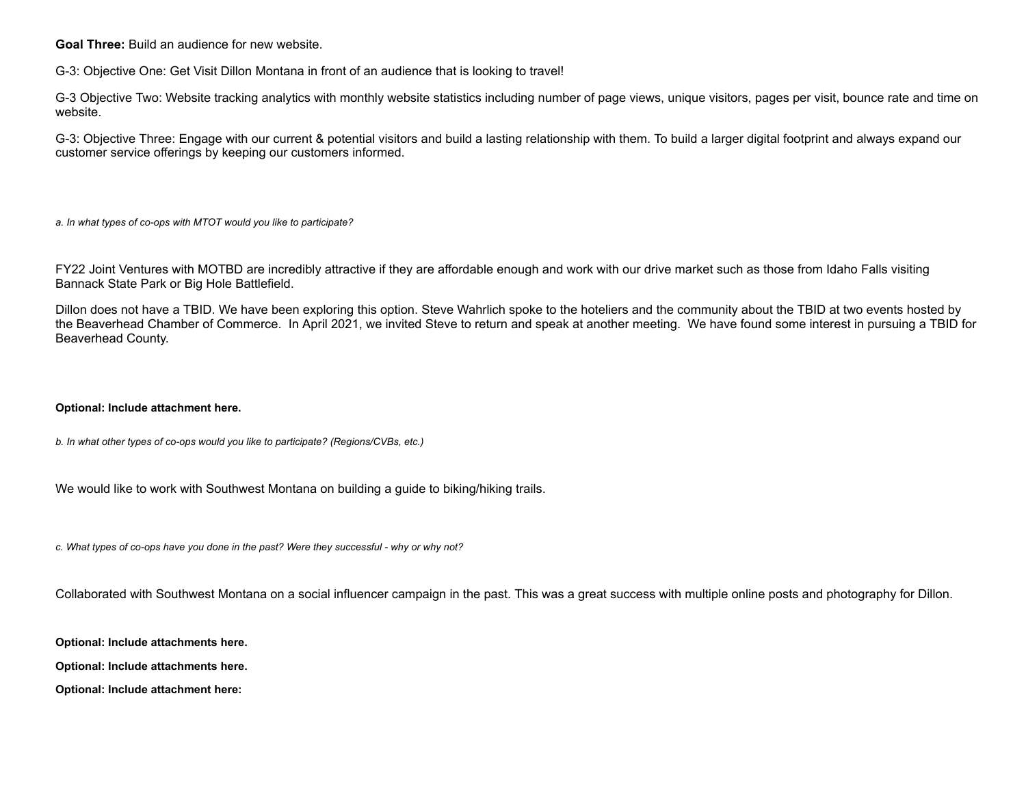**Goal Three:** Build an audience for new website.

G-3: Objective One: Get Visit Dillon Montana in front of an audience that is looking to travel!

G-3 Objective Two: Website tracking analytics with monthly website statistics including number of page views, unique visitors, pages per visit, bounce rate and time on website.

G-3: Objective Three: Engage with our current & potential visitors and build a lasting relationship with them. To build a larger digital footprint and always expand our customer service offerings by keeping our customers informed.

*a. In what types of co-ops with MTOT would you like to participate?*

FY22 Joint Ventures with MOTBD are incredibly attractive if they are affordable enough and work with our drive market such as those from Idaho Falls visiting Bannack State Park or Big Hole Battlefield.

Dillon does not have a TBID. We have been exploring this option. Steve Wahrlich spoke to the hoteliers and the community about the TBID at two events hosted by the Beaverhead Chamber of Commerce. In April 2021, we invited Steve to return and speak at another meeting. We have found some interest in pursuing a TBID for Beaverhead County.

#### **Optional: Include attachment here.**

*b. In what other types of co-ops would you like to participate? (Regions/CVBs, etc.)*

We would like to work with Southwest Montana on building a guide to biking/hiking trails.

*c. What types of co-ops have you done in the past? Were they successful - why or why not?*

Collaborated with Southwest Montana on a social influencer campaign in the past. This was a great success with multiple online posts and photography for Dillon.

**Optional: Include attachments here.**

**Optional: Include attachments here.**

**Optional: Include attachment here:**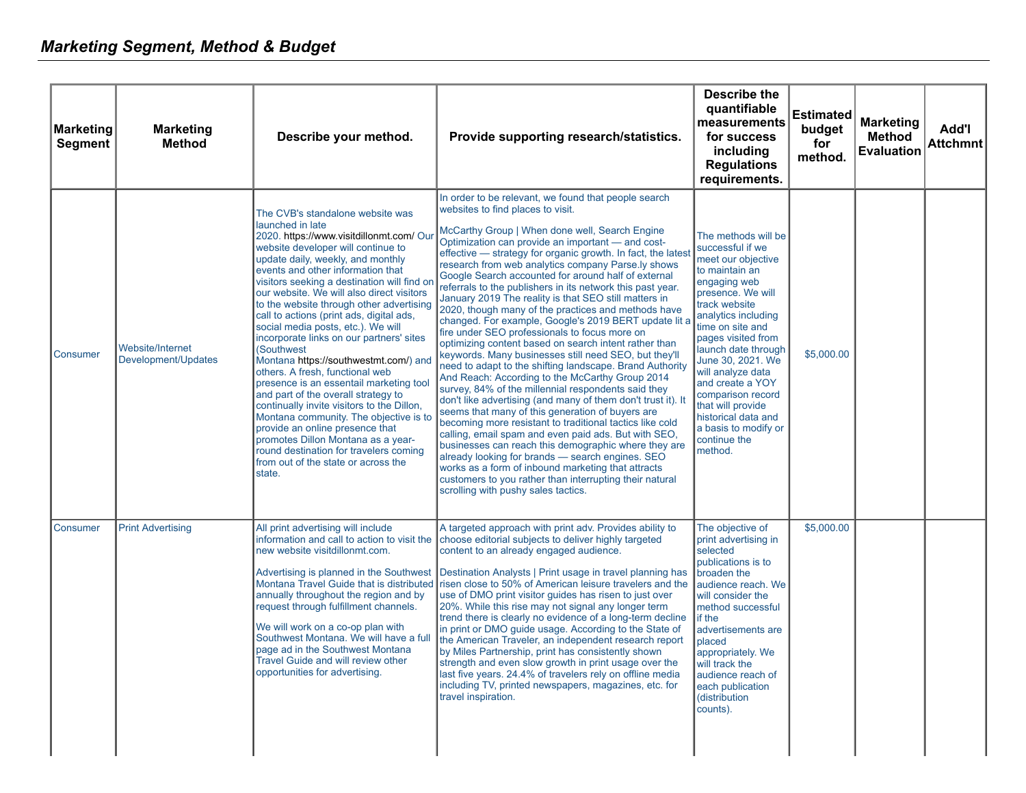| <b>Marketing</b><br><b>Segment</b> | <b>Marketing</b><br><b>Method</b>       | Describe your method.                                                                                                                                                                                                                                                                                                                                                                                                                                                                                                                                                                                                                                                                                                                                                                                                                                                                                                        | Provide supporting research/statistics.                                                                                                                                                                                                                                                                                                                                                                                                                                                                                                                                                                                                                                                                                                                                                                                                                                                                                                                                                                                                                                                                                                                                                                                                                                                                                                                                                                                                                                   | <b>Describe the</b><br>quantifiable<br>measurements<br>for success<br>including<br><b>Regulations</b><br>requirements.                                                                                                                                                                                                                                                                                          | <b>Estimated</b><br>budget<br>for<br>method. | <b>Marketing</b><br><b>Method</b><br><b>Evaluation</b> | Add'l<br><b>Attchmnt</b> |
|------------------------------------|-----------------------------------------|------------------------------------------------------------------------------------------------------------------------------------------------------------------------------------------------------------------------------------------------------------------------------------------------------------------------------------------------------------------------------------------------------------------------------------------------------------------------------------------------------------------------------------------------------------------------------------------------------------------------------------------------------------------------------------------------------------------------------------------------------------------------------------------------------------------------------------------------------------------------------------------------------------------------------|---------------------------------------------------------------------------------------------------------------------------------------------------------------------------------------------------------------------------------------------------------------------------------------------------------------------------------------------------------------------------------------------------------------------------------------------------------------------------------------------------------------------------------------------------------------------------------------------------------------------------------------------------------------------------------------------------------------------------------------------------------------------------------------------------------------------------------------------------------------------------------------------------------------------------------------------------------------------------------------------------------------------------------------------------------------------------------------------------------------------------------------------------------------------------------------------------------------------------------------------------------------------------------------------------------------------------------------------------------------------------------------------------------------------------------------------------------------------------|-----------------------------------------------------------------------------------------------------------------------------------------------------------------------------------------------------------------------------------------------------------------------------------------------------------------------------------------------------------------------------------------------------------------|----------------------------------------------|--------------------------------------------------------|--------------------------|
| Consumer                           | Website/Internet<br>Development/Updates | The CVB's standalone website was<br>launched in late<br>2020. https://www.visitdillonmt.com/ Ou<br>website developer will continue to<br>update daily, weekly, and monthly<br>events and other information that<br>visitors seeking a destination will find o<br>our website. We will also direct visitors<br>to the website through other advertising<br>call to actions (print ads, digital ads,<br>social media posts, etc.). We will<br>incorporate links on our partners' sites<br>(Southwest)<br>Montana https://southwestmt.com/) and<br>others. A fresh, functional web<br>presence is an essentail marketing too<br>and part of the overall strategy to<br>continually invite visitors to the Dillon,<br>Montana community. The objective is to<br>provide an online presence that<br>promotes Dillon Montana as a year-<br>round destination for travelers coming<br>from out of the state or across the<br>state. | In order to be relevant, we found that people search<br>websites to find places to visit.<br>McCarthy Group   When done well, Search Engine<br>Optimization can provide an important - and cost-<br>effective - strategy for organic growth. In fact, the latest<br>research from web analytics company Parse.ly shows<br>Google Search accounted for around half of external<br>referrals to the publishers in its network this past year.<br>January 2019 The reality is that SEO still matters in<br>2020, though many of the practices and methods have<br>changed. For example, Google's 2019 BERT update lit a<br>fire under SEO professionals to focus more on<br>optimizing content based on search intent rather than<br>keywords. Many businesses still need SEO, but they'll<br>need to adapt to the shifting landscape. Brand Authority<br>And Reach: According to the McCarthy Group 2014<br>survey, 84% of the millennial respondents said they<br>don't like advertising (and many of them don't trust it). It<br>seems that many of this generation of buyers are<br>becoming more resistant to traditional tactics like cold<br>calling, email spam and even paid ads. But with SEO,<br>businesses can reach this demographic where they are<br>already looking for brands - search engines. SEO<br>works as a form of inbound marketing that attracts<br>customers to you rather than interrupting their natural<br>scrolling with pushy sales tactics. | The methods will be<br>successful if we<br>meet our objective<br>to maintain an<br>engaging web<br>presence. We will<br>track website<br>analytics including<br>time on site and<br>pages visited from<br>launch date through<br>June 30, 2021. We<br>will analyze data<br>and create a YOY<br>comparison record<br>that will provide<br>historical data and<br>a basis to modify or<br>continue the<br>method. | \$5,000.00                                   |                                                        |                          |
| Consumer                           | <b>Print Advertising</b>                | All print advertising will include<br>information and call to action to visit the<br>new website visitdillonmt.com.<br>annually throughout the region and by<br>request through fulfillment channels.<br>We will work on a co-op plan with<br>Southwest Montana. We will have a ful<br>page ad in the Southwest Montana<br>Travel Guide and will review other<br>opportunities for advertising.                                                                                                                                                                                                                                                                                                                                                                                                                                                                                                                              | A targeted approach with print adv. Provides ability to<br>choose editorial subjects to deliver highly targeted<br>content to an already engaged audience.<br>Advertising is planned in the Southwest Destination Analysts   Print usage in travel planning has<br>Montana Travel Guide that is distributed risen close to 50% of American leisure travelers and the<br>use of DMO print visitor quides has risen to just over<br>20%. While this rise may not signal any longer term<br>trend there is clearly no evidence of a long-term decline<br>in print or DMO quide usage. According to the State of<br>the American Traveler, an independent research report<br>by Miles Partnership, print has consistently shown<br>strength and even slow growth in print usage over the<br>last five years. 24.4% of travelers rely on offline media<br>including TV, printed newspapers, magazines, etc. for<br>travel inspiration.                                                                                                                                                                                                                                                                                                                                                                                                                                                                                                                                         | The objective of<br>print advertising in<br>selected<br>publications is to<br>broaden the<br>audience reach. We<br>will consider the<br>method successful<br>if the<br>advertisements are<br>placed<br>appropriately. We<br>will track the<br>audience reach of<br>each publication<br>(distribution<br>counts).                                                                                                | \$5,000.00                                   |                                                        |                          |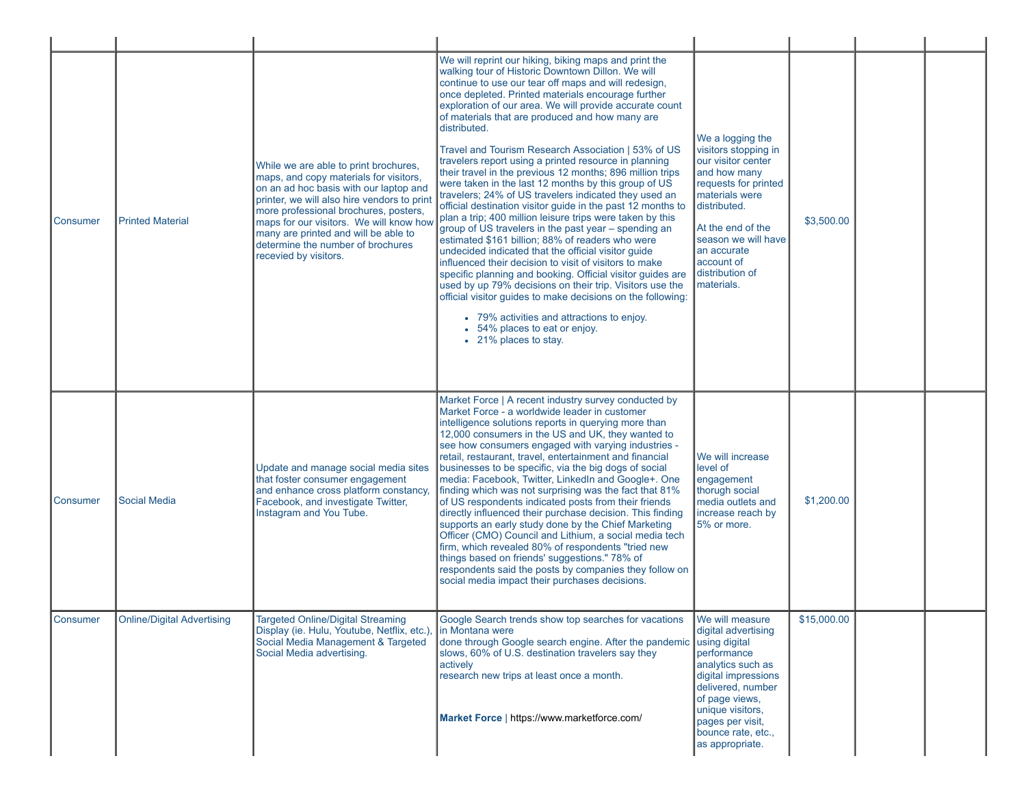| Consumer | <b>Printed Material</b>    | While we are able to print brochures.<br>maps, and copy materials for visitors,<br>on an ad hoc basis with our laptop and<br>printer, we will also hire vendors to print<br>more professional brochures, posters,<br>maps for our visitors. We will know how<br>many are printed and will be able to<br>determine the number of brochures<br>recevied by visitors. | We will reprint our hiking, biking maps and print the<br>walking tour of Historic Downtown Dillon. We will<br>continue to use our tear off maps and will redesign,<br>once depleted. Printed materials encourage further<br>exploration of our area. We will provide accurate count<br>of materials that are produced and how many are<br>distributed.<br>Travel and Tourism Research Association   53% of US<br>travelers report using a printed resource in planning<br>their travel in the previous 12 months; 896 million trips<br>were taken in the last 12 months by this group of US<br>travelers; 24% of US travelers indicated they used an<br>official destination visitor quide in the past 12 months to<br>plan a trip; 400 million leisure trips were taken by this<br>group of US travelers in the past year - spending an<br>estimated \$161 billion; 88% of readers who were<br>undecided indicated that the official visitor guide<br>influenced their decision to visit of visitors to make<br>specific planning and booking. Official visitor guides are<br>used by up 79% decisions on their trip. Visitors use the<br>official visitor guides to make decisions on the following:<br>• 79% activities and attractions to enjoy.<br>• 54% places to eat or enjoy.<br>• 21% places to stay. | We a logging the<br>visitors stopping in<br>our visitor center<br>and how many<br>requests for printed<br>materials were<br>distributed.<br>At the end of the<br>season we will have<br>an accurate<br>account of<br>distribution of<br>materials. | \$3,500.00  |  |
|----------|----------------------------|--------------------------------------------------------------------------------------------------------------------------------------------------------------------------------------------------------------------------------------------------------------------------------------------------------------------------------------------------------------------|----------------------------------------------------------------------------------------------------------------------------------------------------------------------------------------------------------------------------------------------------------------------------------------------------------------------------------------------------------------------------------------------------------------------------------------------------------------------------------------------------------------------------------------------------------------------------------------------------------------------------------------------------------------------------------------------------------------------------------------------------------------------------------------------------------------------------------------------------------------------------------------------------------------------------------------------------------------------------------------------------------------------------------------------------------------------------------------------------------------------------------------------------------------------------------------------------------------------------------------------------------------------------------------------------------------|----------------------------------------------------------------------------------------------------------------------------------------------------------------------------------------------------------------------------------------------------|-------------|--|
| Consumer | <b>Social Media</b>        | Update and manage social media sites<br>that foster consumer engagement<br>and enhance cross platform constancy,<br>Facebook, and investigate Twitter,<br>Instagram and You Tube.                                                                                                                                                                                  | Market Force   A recent industry survey conducted by<br>Market Force - a worldwide leader in customer<br>intelligence solutions reports in querying more than<br>12,000 consumers in the US and UK, they wanted to<br>see how consumers engaged with varying industries -<br>retail, restaurant, travel, entertainment and financial<br>businesses to be specific, via the big dogs of social<br>media: Facebook, Twitter, LinkedIn and Google+. One<br>finding which was not surprising was the fact that 81%<br>of US respondents indicated posts from their friends<br>directly influenced their purchase decision. This finding<br>supports an early study done by the Chief Marketing<br>Officer (CMO) Council and Lithium, a social media tech<br>firm, which revealed 80% of respondents "tried new<br>things based on friends' suggestions." 78% of<br>respondents said the posts by companies they follow on<br>social media impact their purchases decisions.                                                                                                                                                                                                                                                                                                                                        | We will increase<br>level of<br>engagement<br>thorugh social<br>media outlets and<br>increase reach by<br>5% or more.                                                                                                                              | \$1,200.00  |  |
| Consumer | Online/Digital Advertising | Targeted Online/Digital Streaming<br>Display (ie. Hulu, Youtube, Netflix, etc.)<br>Social Media Management & Targeted<br>Social Media advertising.                                                                                                                                                                                                                 | Google Search trends show top searches for vacations<br>in Montana were<br>done through Google search engine. After the pandemic using digital<br>slows, 60% of U.S. destination travelers say they<br>actively<br>research new trips at least once a month.<br>Market Force   https://www.marketforce.com/                                                                                                                                                                                                                                                                                                                                                                                                                                                                                                                                                                                                                                                                                                                                                                                                                                                                                                                                                                                                    | We will measure<br>digital advertising<br>performance<br>analytics such as<br>digital impressions<br>delivered, number<br>of page views,<br>unique visitors,<br>pages per visit,<br>bounce rate, etc.,<br>as appropriate.                          | \$15,000.00 |  |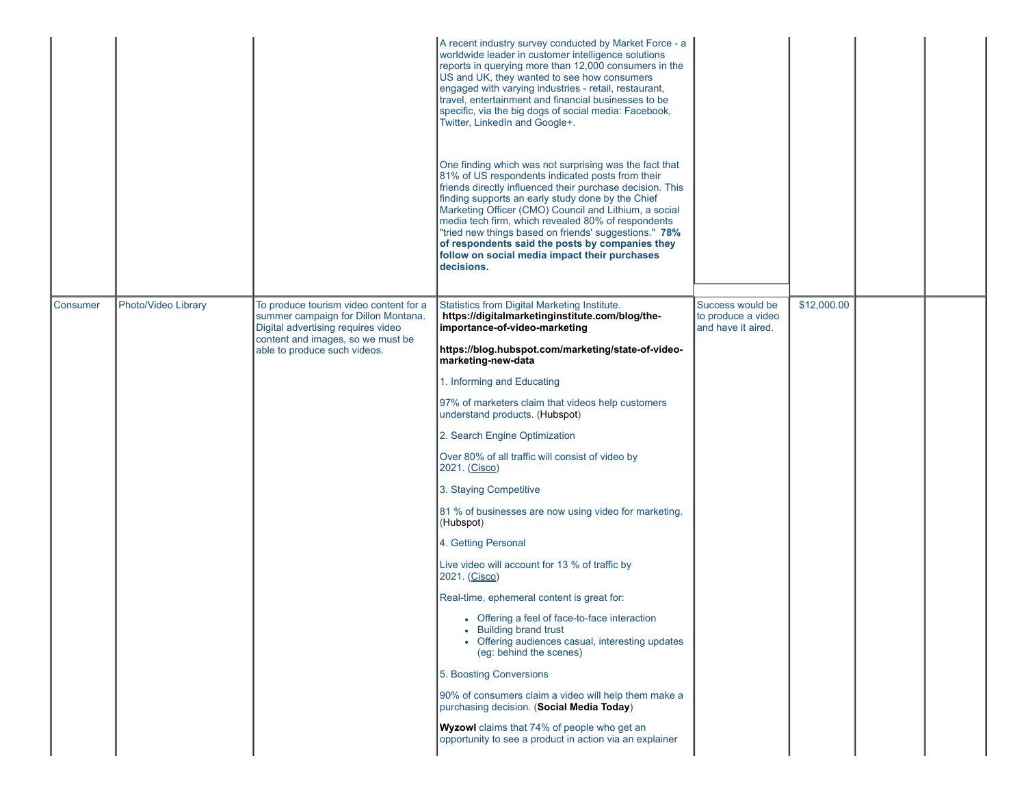|                 |                     |                                                                                                                     | A recent industry survey conducted by Market Force - a<br>worldwide leader in customer intelligence solutions<br>reports in querying more than 12,000 consumers in the<br>US and UK, they wanted to see how consumers<br>engaged with varying industries - retail, restaurant,<br>travel, entertainment and financial businesses to be<br>specific, via the big dogs of social media: Facebook,<br>Twitter, LinkedIn and Google+.<br>One finding which was not surprising was the fact that<br>81% of US respondents indicated posts from their<br>friends directly influenced their purchase decision. This<br>finding supports an early study done by the Chief<br>Marketing Officer (CMO) Council and Lithium, a social<br>media tech firm, which revealed 80% of respondents<br>"tried new things based on friends' suggestions." 78%<br>of respondents said the posts by companies they<br>follow on social media impact their purchases<br>decisions. |                                                              |             |  |
|-----------------|---------------------|---------------------------------------------------------------------------------------------------------------------|-------------------------------------------------------------------------------------------------------------------------------------------------------------------------------------------------------------------------------------------------------------------------------------------------------------------------------------------------------------------------------------------------------------------------------------------------------------------------------------------------------------------------------------------------------------------------------------------------------------------------------------------------------------------------------------------------------------------------------------------------------------------------------------------------------------------------------------------------------------------------------------------------------------------------------------------------------------|--------------------------------------------------------------|-------------|--|
| <b>Consumer</b> | Photo/Video Library | To produce tourism video content for a<br>summer campaign for Dillon Montana.<br>Digital advertising requires video | Statistics from Digital Marketing Institute.<br>https://digitalmarketinginstitute.com/blog/the-<br>importance-of-video-marketing                                                                                                                                                                                                                                                                                                                                                                                                                                                                                                                                                                                                                                                                                                                                                                                                                            | Success would be<br>to produce a video<br>and have it aired. | \$12,000.00 |  |
|                 |                     | content and images, so we must be<br>able to produce such videos.                                                   | https://blog.hubspot.com/marketing/state-of-video-<br>marketing-new-data                                                                                                                                                                                                                                                                                                                                                                                                                                                                                                                                                                                                                                                                                                                                                                                                                                                                                    |                                                              |             |  |
|                 |                     |                                                                                                                     | 1. Informing and Educating                                                                                                                                                                                                                                                                                                                                                                                                                                                                                                                                                                                                                                                                                                                                                                                                                                                                                                                                  |                                                              |             |  |
|                 |                     |                                                                                                                     | 97% of marketers claim that videos help customers<br>understand products. (Hubspot)                                                                                                                                                                                                                                                                                                                                                                                                                                                                                                                                                                                                                                                                                                                                                                                                                                                                         |                                                              |             |  |
|                 |                     |                                                                                                                     | 2. Search Engine Optimization                                                                                                                                                                                                                                                                                                                                                                                                                                                                                                                                                                                                                                                                                                                                                                                                                                                                                                                               |                                                              |             |  |
|                 |                     |                                                                                                                     | Over 80% of all traffic will consist of video by<br>2021. (Cisco)                                                                                                                                                                                                                                                                                                                                                                                                                                                                                                                                                                                                                                                                                                                                                                                                                                                                                           |                                                              |             |  |
|                 |                     |                                                                                                                     | 3. Staying Competitive                                                                                                                                                                                                                                                                                                                                                                                                                                                                                                                                                                                                                                                                                                                                                                                                                                                                                                                                      |                                                              |             |  |
|                 |                     |                                                                                                                     | 81 % of businesses are now using video for marketing.<br>(Hubspot)                                                                                                                                                                                                                                                                                                                                                                                                                                                                                                                                                                                                                                                                                                                                                                                                                                                                                          |                                                              |             |  |
|                 |                     |                                                                                                                     | 4. Getting Personal                                                                                                                                                                                                                                                                                                                                                                                                                                                                                                                                                                                                                                                                                                                                                                                                                                                                                                                                         |                                                              |             |  |
|                 |                     |                                                                                                                     | Live video will account for 13 % of traffic by<br>2021. (Cisco)                                                                                                                                                                                                                                                                                                                                                                                                                                                                                                                                                                                                                                                                                                                                                                                                                                                                                             |                                                              |             |  |
|                 |                     |                                                                                                                     | Real-time, ephemeral content is great for:                                                                                                                                                                                                                                                                                                                                                                                                                                                                                                                                                                                                                                                                                                                                                                                                                                                                                                                  |                                                              |             |  |
|                 |                     |                                                                                                                     | • Offering a feel of face-to-face interaction<br>• Building brand trust<br>• Offering audiences casual, interesting updates<br>(eg: behind the scenes)                                                                                                                                                                                                                                                                                                                                                                                                                                                                                                                                                                                                                                                                                                                                                                                                      |                                                              |             |  |
|                 |                     |                                                                                                                     | 5. Boosting Conversions                                                                                                                                                                                                                                                                                                                                                                                                                                                                                                                                                                                                                                                                                                                                                                                                                                                                                                                                     |                                                              |             |  |
|                 |                     |                                                                                                                     | 90% of consumers claim a video will help them make a<br>purchasing decision. (Social Media Today)                                                                                                                                                                                                                                                                                                                                                                                                                                                                                                                                                                                                                                                                                                                                                                                                                                                           |                                                              |             |  |
|                 |                     |                                                                                                                     | Wyzowl claims that 74% of people who get an<br>opportunity to see a product in action via an explainer                                                                                                                                                                                                                                                                                                                                                                                                                                                                                                                                                                                                                                                                                                                                                                                                                                                      |                                                              |             |  |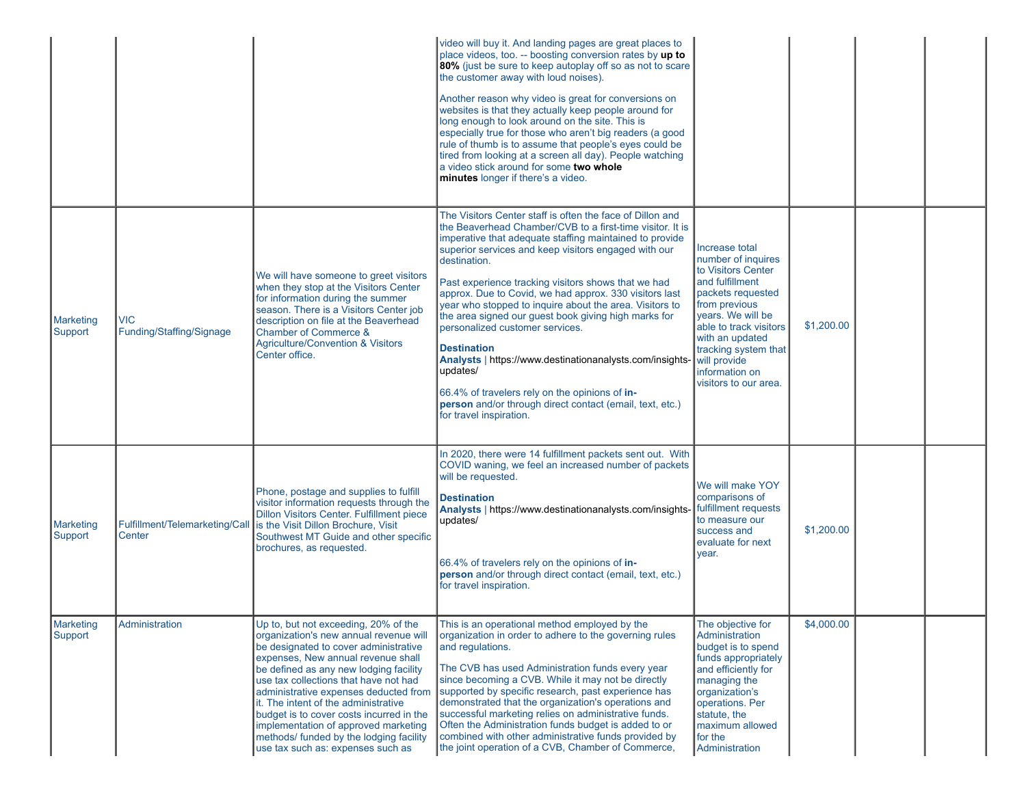|                             |                                          |                                                                                                                                                                                                                                                                                                                                                                                                                                                                                                       | video will buy it. And landing pages are great places to<br>place videos, too. -- boosting conversion rates by up to<br>80% (just be sure to keep autoplay off so as not to scare<br>the customer away with loud noises).<br>Another reason why video is great for conversions on<br>websites is that they actually keep people around for<br>long enough to look around on the site. This is<br>especially true for those who aren't big readers (a good<br>rule of thumb is to assume that people's eyes could be<br>tired from looking at a screen all day). People watching<br>a video stick around for some two whole<br>minutes longer if there's a video.                                                                                                        |                                                                                                                                                                                                                                                                          |            |  |
|-----------------------------|------------------------------------------|-------------------------------------------------------------------------------------------------------------------------------------------------------------------------------------------------------------------------------------------------------------------------------------------------------------------------------------------------------------------------------------------------------------------------------------------------------------------------------------------------------|-------------------------------------------------------------------------------------------------------------------------------------------------------------------------------------------------------------------------------------------------------------------------------------------------------------------------------------------------------------------------------------------------------------------------------------------------------------------------------------------------------------------------------------------------------------------------------------------------------------------------------------------------------------------------------------------------------------------------------------------------------------------------|--------------------------------------------------------------------------------------------------------------------------------------------------------------------------------------------------------------------------------------------------------------------------|------------|--|
| Marketing<br>Support        | <b>VIC</b><br>Funding/Staffing/Signage   | We will have someone to greet visitors<br>when they stop at the Visitors Center<br>for information during the summer<br>season. There is a Visitors Center job<br>description on file at the Beaverhead<br>Chamber of Commerce &<br><b>Agriculture/Convention &amp; Visitors</b><br>Center office.                                                                                                                                                                                                    | The Visitors Center staff is often the face of Dillon and<br>the Beaverhead Chamber/CVB to a first-time visitor. It is<br>imperative that adequate staffing maintained to provide<br>superior services and keep visitors engaged with our<br>destination.<br>Past experience tracking visitors shows that we had<br>approx. Due to Covid, we had approx. 330 visitors last<br>year who stopped to inquire about the area. Visitors to<br>the area signed our guest book giving high marks for<br>personalized customer services.<br><b>Destination</b><br>Analysts   https://www.destinationanalysts.com/insights-<br>updates/<br>66.4% of travelers rely on the opinions of in-<br>person and/or through direct contact (email, text, etc.)<br>for travel inspiration. | Increase total<br>number of inquires<br>to Visitors Center<br>and fulfillment<br>packets requested<br>from previous<br>vears. We will be<br>able to track visitors<br>with an updated<br>tracking system that<br>will provide<br>information on<br>visitors to our area. | \$1,200.00 |  |
| <b>Marketing</b><br>Support | Fulfillment/Telemarketing/Call<br>Center | Phone, postage and supplies to fulfill<br>visitor information requests through the<br>Dillon Visitors Center. Fulfillment piece<br>is the Visit Dillon Brochure, Visit<br>Southwest MT Guide and other specific<br>brochures, as requested.                                                                                                                                                                                                                                                           | In 2020, there were 14 fulfillment packets sent out. With<br>COVID waning, we feel an increased number of packets<br>will be requested.<br><b>Destination</b><br>Analysts   https://www.destinationanalysts.com/insights-<br>updates/<br>66.4% of travelers rely on the opinions of in-<br>person and/or through direct contact (email, text, etc.)<br>for travel inspiration.                                                                                                                                                                                                                                                                                                                                                                                          | We will make YOY<br>comparisons of<br>fulfillment requests<br>to measure our<br>success and<br>evaluate for next<br>year.                                                                                                                                                | \$1,200.00 |  |
| Marketing<br>Support        | Administration                           | Up to, but not exceeding, 20% of the<br>organization's new annual revenue will<br>be designated to cover administrative<br>expenses, New annual revenue shall<br>be defined as any new lodging facility<br>use tax collections that have not had<br>administrative expenses deducted from<br>it. The intent of the administrative<br>budget is to cover costs incurred in the<br>implementation of approved marketing<br>methods/ funded by the lodging facility<br>use tax such as: expenses such as | This is an operational method employed by the<br>organization in order to adhere to the governing rules<br>and regulations.<br>The CVB has used Administration funds every year<br>since becoming a CVB. While it may not be directly<br>supported by specific research, past experience has<br>demonstrated that the organization's operations and<br>successful marketing relies on administrative funds.<br>Often the Administration funds budget is added to or<br>combined with other administrative funds provided by<br>the joint operation of a CVB, Chamber of Commerce,                                                                                                                                                                                       | The objective for<br>Administration<br>budget is to spend<br>funds appropriately<br>and efficiently for<br>managing the<br>organization's<br>operations. Per<br>statute, the<br>maximum allowed<br>for the<br>Administration                                             | \$4,000.00 |  |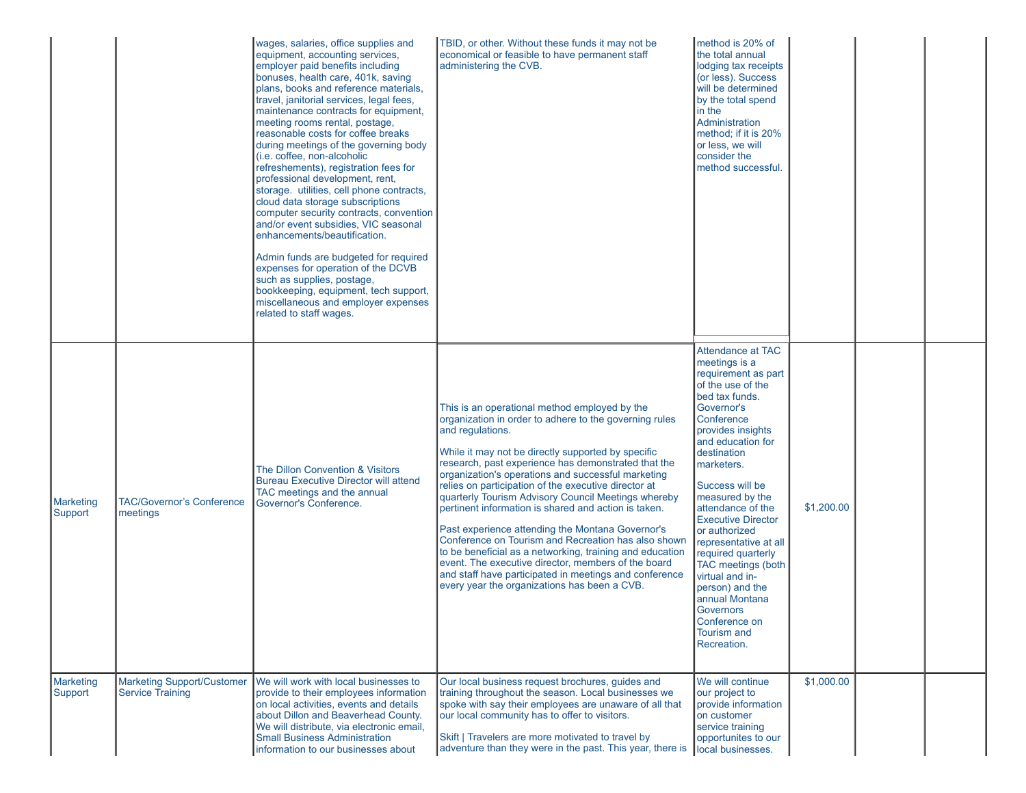|                      |                                                              | wages, salaries, office supplies and<br>equipment, accounting services,<br>employer paid benefits including<br>bonuses, health care, 401k, saving<br>plans, books and reference materials,<br>travel, janitorial services, legal fees,<br>maintenance contracts for equipment,<br>meeting rooms rental, postage,<br>reasonable costs for coffee breaks<br>during meetings of the governing body<br>(i.e. coffee, non-alcoholic<br>refreshements), registration fees for<br>professional development, rent,<br>storage. utilities, cell phone contracts,<br>cloud data storage subscriptions<br>computer security contracts, convention<br>and/or event subsidies, VIC seasonal<br>enhancements/beautification.<br>Admin funds are budgeted for required<br>expenses for operation of the DCVB<br>such as supplies, postage,<br>bookkeeping, equipment, tech support,<br>miscellaneous and employer expenses<br>related to staff wages. | TBID, or other. Without these funds it may not be<br>economical or feasible to have permanent staff<br>administering the CVB.                                                                                                                                                                                                                                                                                                                                                                                                                                                                                                                                                                                                                                                                                 | method is 20% of<br>the total annual<br>lodging tax receipts<br>(or less). Success<br>will be determined<br>by the total spend<br>in the<br>Administration<br>method; if it is 20%<br>or less, we will<br>consider the<br>method successful.                                                                                                                                                                                                                                                                        |            |  |  |
|----------------------|--------------------------------------------------------------|----------------------------------------------------------------------------------------------------------------------------------------------------------------------------------------------------------------------------------------------------------------------------------------------------------------------------------------------------------------------------------------------------------------------------------------------------------------------------------------------------------------------------------------------------------------------------------------------------------------------------------------------------------------------------------------------------------------------------------------------------------------------------------------------------------------------------------------------------------------------------------------------------------------------------------------|---------------------------------------------------------------------------------------------------------------------------------------------------------------------------------------------------------------------------------------------------------------------------------------------------------------------------------------------------------------------------------------------------------------------------------------------------------------------------------------------------------------------------------------------------------------------------------------------------------------------------------------------------------------------------------------------------------------------------------------------------------------------------------------------------------------|---------------------------------------------------------------------------------------------------------------------------------------------------------------------------------------------------------------------------------------------------------------------------------------------------------------------------------------------------------------------------------------------------------------------------------------------------------------------------------------------------------------------|------------|--|--|
| Marketing<br>Support | <b>TAC/Governor's Conference</b><br>meetings                 | The Dillon Convention & Visitors<br><b>Bureau Executive Director will attend</b><br>TAC meetings and the annual<br>Governor's Conference.                                                                                                                                                                                                                                                                                                                                                                                                                                                                                                                                                                                                                                                                                                                                                                                              | This is an operational method employed by the<br>organization in order to adhere to the governing rules<br>and regulations.<br>While it may not be directly supported by specific<br>research, past experience has demonstrated that the<br>organization's operations and successful marketing<br>relies on participation of the executive director at<br>quarterly Tourism Advisory Council Meetings whereby<br>bertinent information is shared and action is taken.<br>Past experience attending the Montana Governor's<br>Conference on Tourism and Recreation has also shown<br>to be beneficial as a networking, training and education<br>event. The executive director, members of the board<br>and staff have participated in meetings and conference<br>every year the organizations has been a CVB. | Attendance at TAC<br>meetings is a<br>requirement as part<br>of the use of the<br>bed tax funds.<br>Governor's<br>Conference<br>provides insights<br>and education for<br>destination<br>marketers.<br>Success will be<br>measured by the<br>attendance of the<br><b>Executive Director</b><br>or authorized<br>representative at all<br>required quarterly<br>TAC meetings (both<br>virtual and in-<br>person) and the<br>annual Montana<br><b>Governors</b><br>Conference on<br><b>Tourism and</b><br>Recreation. | \$1,200.00 |  |  |
| Marketing<br>Support | <b>Marketing Support/Customer</b><br><b>Service Training</b> | We will work with local businesses to<br>provide to their employees information<br>on local activities, events and details<br>about Dillon and Beaverhead County.<br>We will distribute, via electronic email,<br><b>Small Business Administration</b><br>information to our businesses about                                                                                                                                                                                                                                                                                                                                                                                                                                                                                                                                                                                                                                          | Our local business request brochures, guides and<br>training throughout the season. Local businesses we<br>spoke with say their employees are unaware of all that<br>our local community has to offer to visitors.<br>Skift   Travelers are more motivated to travel by<br>adventure than they were in the past. This year, there is                                                                                                                                                                                                                                                                                                                                                                                                                                                                          | We will continue<br>our project to<br>provide information<br>on customer<br>service training<br>opportunites to our<br>local businesses.                                                                                                                                                                                                                                                                                                                                                                            | \$1,000.00 |  |  |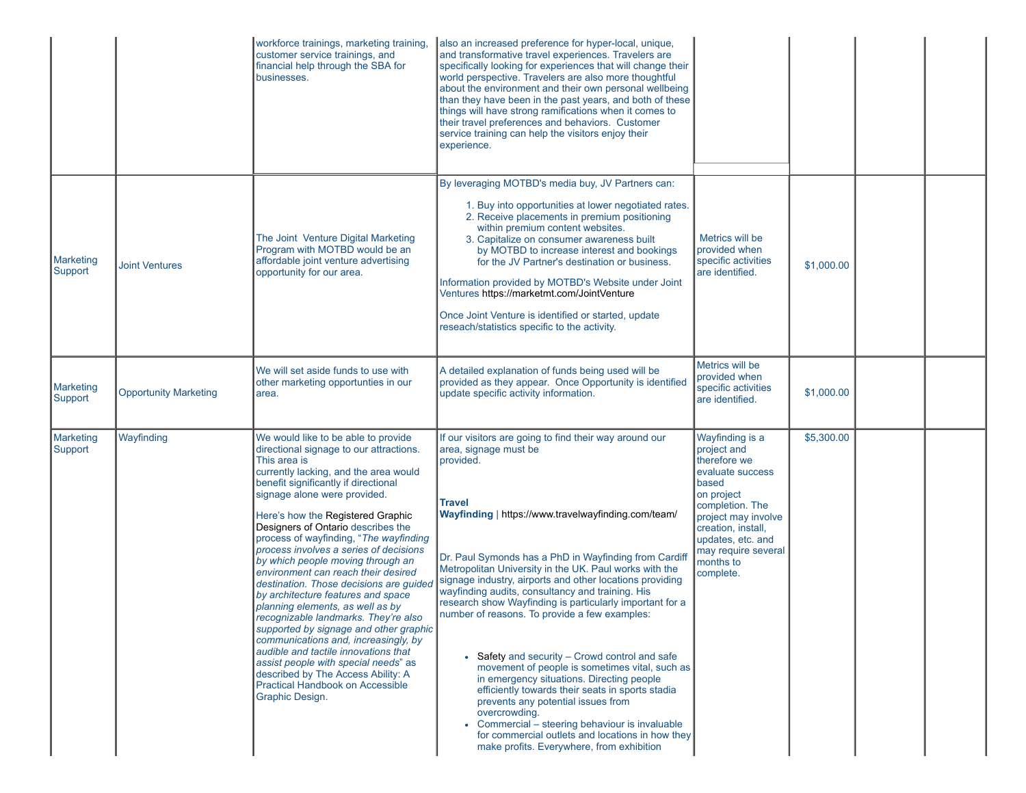|                      |                              | workforce trainings, marketing training,<br>customer service trainings, and<br>financial help through the SBA for<br>businesses.                                                                                                                                                                                                                                                                                                                                                                                                                                                                                                                                                                                                                                                                                                                                                       | also an increased preference for hyper-local, unique,<br>and transformative travel experiences. Travelers are<br>specifically looking for experiences that will change their<br>world perspective. Travelers are also more thoughtful<br>about the environment and their own personal wellbeing<br>than they have been in the past years, and both of these<br>things will have strong ramifications when it comes to<br>their travel preferences and behaviors. Customer<br>service training can help the visitors enjoy their<br>experience.                                                                                                                                                                                                                                                                                                                                                                                       |                                                                                                                                                                                                                                 |            |  |
|----------------------|------------------------------|----------------------------------------------------------------------------------------------------------------------------------------------------------------------------------------------------------------------------------------------------------------------------------------------------------------------------------------------------------------------------------------------------------------------------------------------------------------------------------------------------------------------------------------------------------------------------------------------------------------------------------------------------------------------------------------------------------------------------------------------------------------------------------------------------------------------------------------------------------------------------------------|--------------------------------------------------------------------------------------------------------------------------------------------------------------------------------------------------------------------------------------------------------------------------------------------------------------------------------------------------------------------------------------------------------------------------------------------------------------------------------------------------------------------------------------------------------------------------------------------------------------------------------------------------------------------------------------------------------------------------------------------------------------------------------------------------------------------------------------------------------------------------------------------------------------------------------------|---------------------------------------------------------------------------------------------------------------------------------------------------------------------------------------------------------------------------------|------------|--|
| Marketing<br>Support | <b>Joint Ventures</b>        | The Joint Venture Digital Marketing<br>Program with MOTBD would be an<br>affordable joint venture advertising<br>opportunity for our area.                                                                                                                                                                                                                                                                                                                                                                                                                                                                                                                                                                                                                                                                                                                                             | By leveraging MOTBD's media buy, JV Partners can:<br>1. Buy into opportunities at lower negotiated rates.<br>2. Receive placements in premium positioning<br>within premium content websites.<br>3. Capitalize on consumer awareness built<br>by MOTBD to increase interest and bookings<br>for the JV Partner's destination or business.<br>Information provided by MOTBD's Website under Joint<br>Ventures https://marketmt.com/JointVenture<br>Once Joint Venture is identified or started, update<br>reseach/statistics specific to the activity.                                                                                                                                                                                                                                                                                                                                                                                | Metrics will be<br>provided when<br>specific activities<br>are identified.                                                                                                                                                      | \$1,000.00 |  |
| Marketing<br>Support | <b>Opportunity Marketing</b> | We will set aside funds to use with<br>other marketing opportunties in our<br>area.                                                                                                                                                                                                                                                                                                                                                                                                                                                                                                                                                                                                                                                                                                                                                                                                    | A detailed explanation of funds being used will be<br>provided as they appear. Once Opportunity is identified<br>update specific activity information.                                                                                                                                                                                                                                                                                                                                                                                                                                                                                                                                                                                                                                                                                                                                                                               | Metrics will be<br>provided when<br>specific activities<br>are identified.                                                                                                                                                      | \$1,000.00 |  |
| Marketing<br>Support | Wayfinding                   | We would like to be able to provide<br>directional signage to our attractions.<br>This area is<br>currently lacking, and the area would<br>benefit significantly if directional<br>signage alone were provided.<br>Here's how the Registered Graphic<br>Designers of Ontario describes the<br>process of wayfinding, "The wayfinding<br>process involves a series of decisions<br>by which people moving through an<br>environment can reach their desired<br>destination. Those decisions are guided<br>by architecture features and space<br>planning elements, as well as by<br>recognizable landmarks. They're also<br>supported by signage and other graphic<br>communications and, increasingly, by<br>audible and tactile innovations that<br>assist people with special needs" as<br>described by The Access Ability: A<br>Practical Handbook on Accessible<br>Graphic Design. | If our visitors are going to find their way around our<br>area, signage must be<br>provided.<br><b>Travel</b><br>Wayfinding   https://www.travelwayfinding.com/team/<br>Dr. Paul Symonds has a PhD in Wayfinding from Cardiff<br>Metropolitan University in the UK. Paul works with the<br>signage industry, airports and other locations providing<br>wayfinding audits, consultancy and training. His<br>research show Wayfinding is particularly important for a<br>number of reasons. To provide a few examples:<br>• Safety and security – Crowd control and safe<br>movement of people is sometimes vital, such as<br>in emergency situations. Directing people<br>efficiently towards their seats in sports stadia<br>prevents any potential issues from<br>overcrowding.<br>• Commercial - steering behaviour is invaluable<br>for commercial outlets and locations in how they<br>make profits. Everywhere, from exhibition | Wayfinding is a<br>project and<br>therefore we<br>evaluate success<br>based<br>on project<br>completion. The<br>project may involve<br>creation, install,<br>updates, etc. and<br>may require several<br>months to<br>complete. | \$5,300.00 |  |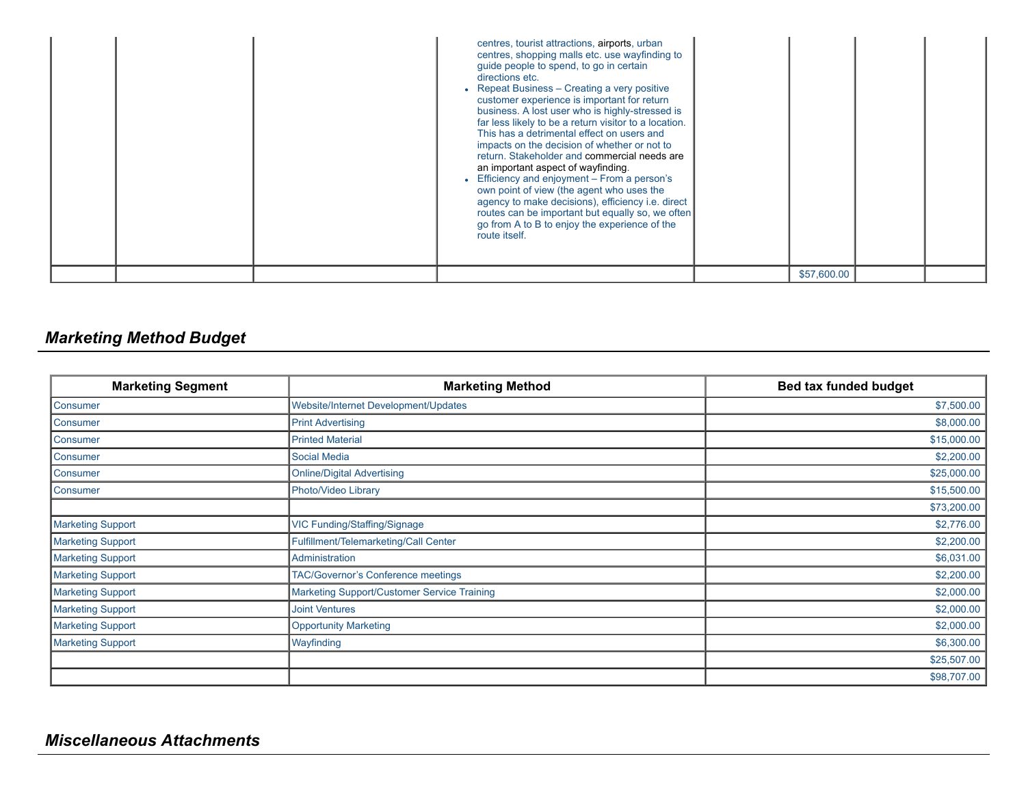|  | centres, tourist attractions, airports, urban<br>centres, shopping malls etc. use wayfinding to<br>guide people to spend, to go in certain<br>directions etc.<br>• Repeat Business - Creating a very positive<br>customer experience is important for return<br>business. A lost user who is highly-stressed is<br>far less likely to be a return visitor to a location.<br>This has a detrimental effect on users and<br>impacts on the decision of whether or not to<br>return. Stakeholder and commercial needs are<br>an important aspect of wayfinding.<br>• Efficiency and enjoyment - From a person's<br>own point of view (the agent who uses the<br>agency to make decisions), efficiency i.e. direct<br>routes can be important but equally so, we often<br>go from A to B to enjoy the experience of the<br>route itself. |             |  |
|--|--------------------------------------------------------------------------------------------------------------------------------------------------------------------------------------------------------------------------------------------------------------------------------------------------------------------------------------------------------------------------------------------------------------------------------------------------------------------------------------------------------------------------------------------------------------------------------------------------------------------------------------------------------------------------------------------------------------------------------------------------------------------------------------------------------------------------------------|-------------|--|
|  |                                                                                                                                                                                                                                                                                                                                                                                                                                                                                                                                                                                                                                                                                                                                                                                                                                      | \$57,600.00 |  |

# *Marketing Method Budget*

| <b>Marketing Segment</b> | <b>Marketing Method</b>                     | <b>Bed tax funded budget</b> |
|--------------------------|---------------------------------------------|------------------------------|
| <b>Consumer</b>          | Website/Internet Development/Updates        | \$7,500.00                   |
| Consumer                 | <b>Print Advertising</b>                    | \$8,000.00                   |
| Consumer                 | <b>Printed Material</b>                     | \$15,000.00                  |
| Consumer                 | <b>Social Media</b>                         | \$2,200.00                   |
| Consumer                 | <b>Online/Digital Advertising</b>           | \$25,000.00                  |
| <b>Consumer</b>          | Photo/Video Library                         | \$15,500.00                  |
|                          |                                             | \$73,200.00                  |
| <b>Marketing Support</b> | VIC Funding/Staffing/Signage                | \$2,776.00                   |
| Marketing Support        | Fulfillment/Telemarketing/Call Center       | \$2,200.00                   |
| Marketing Support        | Administration                              | \$6,031.00                   |
| Marketing Support        | <b>TAC/Governor's Conference meetings</b>   | \$2,200.00                   |
| Marketing Support        | Marketing Support/Customer Service Training | \$2,000.00                   |
| Marketing Support        | <b>Joint Ventures</b>                       | \$2,000.00                   |
| <b>Marketing Support</b> | <b>Opportunity Marketing</b>                | \$2,000.00                   |
| <b>Marketing Support</b> | Wayfinding                                  | \$6,300.00                   |
|                          |                                             | \$25,507.00                  |
|                          |                                             | \$98,707.00                  |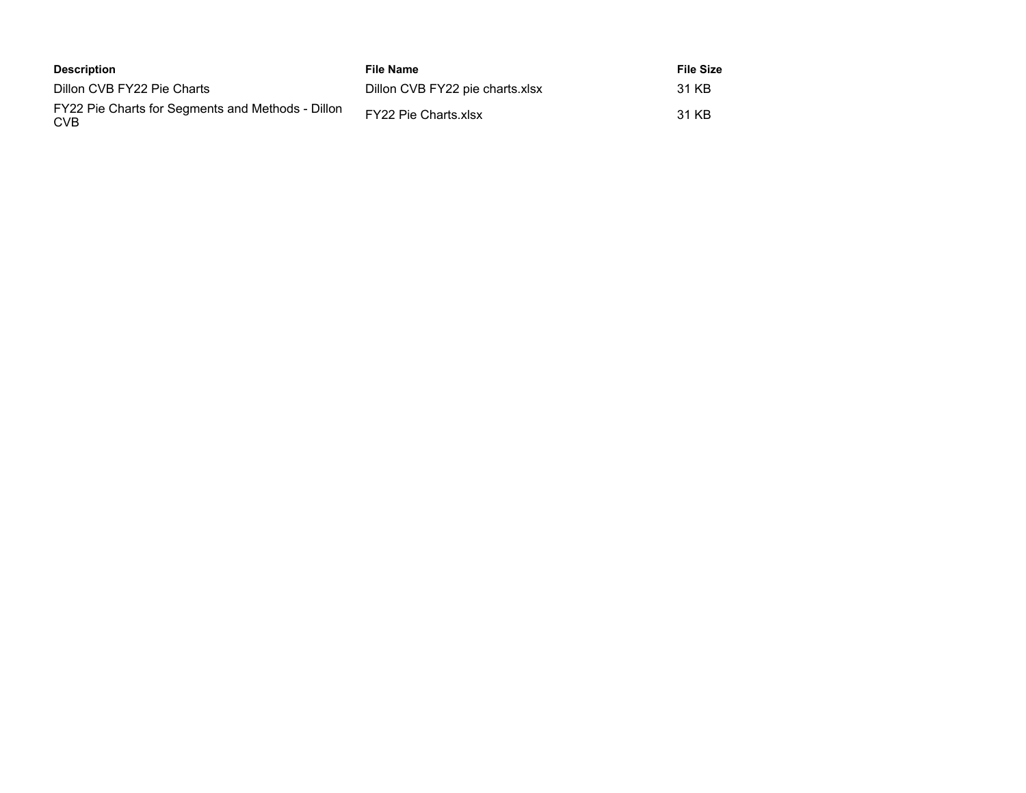| Description                                                     | File Name                       | <b>File Size</b> |
|-----------------------------------------------------------------|---------------------------------|------------------|
| Dillon CVB FY22 Pie Charts                                      | Dillon CVB FY22 pie charts.xlsx | 31 KB            |
| FY22 Pie Charts for Segments and Methods - Dillon<br><b>CVB</b> | FY22 Pie Charts.xlsx            | 31 KB            |